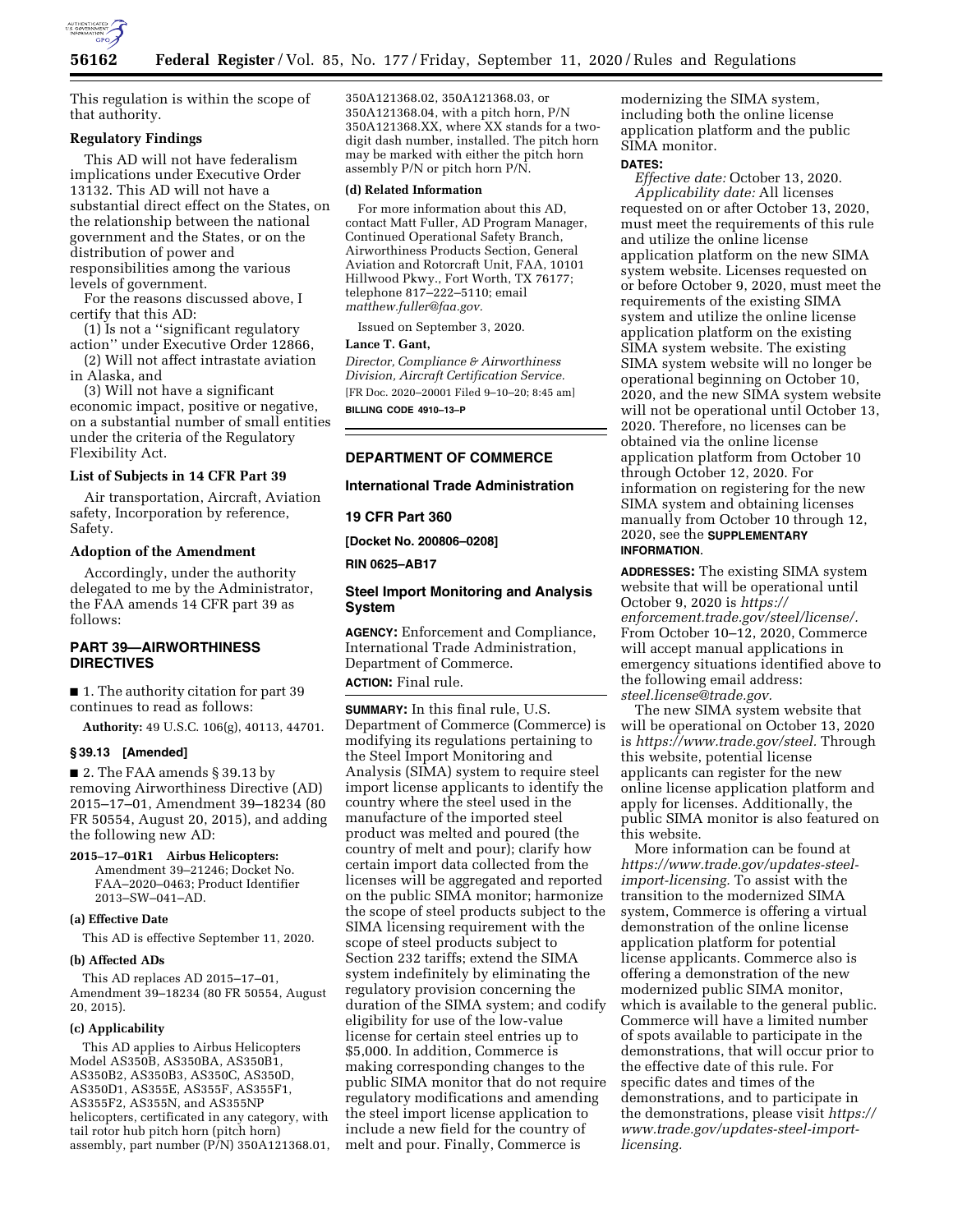

This regulation is within the scope of that authority.

#### **Regulatory Findings**

This AD will not have federalism implications under Executive Order 13132. This AD will not have a substantial direct effect on the States, on the relationship between the national government and the States, or on the distribution of power and responsibilities among the various levels of government.

For the reasons discussed above, I certify that this AD:

(1) Is not a ''significant regulatory action'' under Executive Order 12866,

(2) Will not affect intrastate aviation in Alaska, and

(3) Will not have a significant economic impact, positive or negative, on a substantial number of small entities under the criteria of the Regulatory Flexibility Act.

## **List of Subjects in 14 CFR Part 39**

Air transportation, Aircraft, Aviation safety, Incorporation by reference, Safety.

#### **Adoption of the Amendment**

Accordingly, under the authority delegated to me by the Administrator, the FAA amends 14 CFR part 39 as follows:

# **PART 39—AIRWORTHINESS DIRECTIVES**

■ 1. The authority citation for part 39 continues to read as follows:

**Authority:** 49 U.S.C. 106(g), 40113, 44701.

### **§ 39.13 [Amended]**

■ 2. The FAA amends § 39.13 by removing Airworthiness Directive (AD) 2015–17–01, Amendment 39–18234 (80 FR 50554, August 20, 2015), and adding the following new AD:

**2015–17–01R1 Airbus Helicopters:**  Amendment 39–21246; Docket No. FAA–2020–0463; Product Identifier 2013–SW–041–AD.

#### **(a) Effective Date**

This AD is effective September 11, 2020.

#### **(b) Affected ADs**

This AD replaces AD 2015–17–01, Amendment 39–18234 (80 FR 50554, August 20, 2015).

#### **(c) Applicability**

This AD applies to Airbus Helicopters Model AS350B, AS350BA, AS350B1, AS350B2, AS350B3, AS350C, AS350D, AS350D1, AS355E, AS355F, AS355F1, AS355F2, AS355N, and AS355NP helicopters, certificated in any category, with tail rotor hub pitch horn (pitch horn) assembly, part number (P/N) 350A121368.01, 350A121368.02, 350A121368.03, or 350A121368.04, with a pitch horn, P/N 350A121368.XX, where XX stands for a twodigit dash number, installed. The pitch horn may be marked with either the pitch horn assembly P/N or pitch horn P/N.

#### **(d) Related Information**

For more information about this AD, contact Matt Fuller, AD Program Manager, Continued Operational Safety Branch, Airworthiness Products Section, General Aviation and Rotorcraft Unit, FAA, 10101 Hillwood Pkwy., Fort Worth, TX 76177; telephone 817–222–5110; email *[matthew.fuller@faa.gov.](mailto:matthew.fuller@faa.gov)* 

Issued on September 3, 2020.

#### **Lance T. Gant,**

*Director, Compliance & Airworthiness Division, Aircraft Certification Service.*  [FR Doc. 2020–20001 Filed 9–10–20; 8:45 am]

**BILLING CODE 4910–13–P** 

#### **DEPARTMENT OF COMMERCE**

#### **International Trade Administration**

**19 CFR Part 360** 

**[Docket No. 200806–0208]** 

**RIN 0625–AB17** 

### **Steel Import Monitoring and Analysis System**

**AGENCY:** Enforcement and Compliance, International Trade Administration, Department of Commerce. **ACTION:** Final rule.

**SUMMARY:** In this final rule, U.S. Department of Commerce (Commerce) is modifying its regulations pertaining to the Steel Import Monitoring and Analysis (SIMA) system to require steel import license applicants to identify the country where the steel used in the manufacture of the imported steel product was melted and poured (the country of melt and pour); clarify how certain import data collected from the licenses will be aggregated and reported on the public SIMA monitor; harmonize the scope of steel products subject to the SIMA licensing requirement with the scope of steel products subject to Section 232 tariffs; extend the SIMA system indefinitely by eliminating the regulatory provision concerning the duration of the SIMA system; and codify eligibility for use of the low-value license for certain steel entries up to \$5,000. In addition, Commerce is making corresponding changes to the public SIMA monitor that do not require regulatory modifications and amending the steel import license application to include a new field for the country of melt and pour. Finally, Commerce is

modernizing the SIMA system, including both the online license application platform and the public SIMA monitor.

## **DATES:**

*Effective date:* October 13, 2020. *Applicability date:* All licenses requested on or after October 13, 2020, must meet the requirements of this rule and utilize the online license application platform on the new SIMA system website. Licenses requested on or before October 9, 2020, must meet the requirements of the existing SIMA system and utilize the online license application platform on the existing SIMA system website. The existing SIMA system website will no longer be operational beginning on October 10, 2020, and the new SIMA system website will not be operational until October 13, 2020. Therefore, no licenses can be obtained via the online license application platform from October 10 through October 12, 2020. For information on registering for the new SIMA system and obtaining licenses manually from October 10 through 12, 2020, see the **SUPPLEMENTARY INFORMATION**.

**ADDRESSES:** The existing SIMA system website that will be operational until October 9, 2020 is *[https://](https://enforcement.trade.gov/steel/license/) [enforcement.trade.gov/steel/license/.](https://enforcement.trade.gov/steel/license/)*  From October 10–12, 2020, Commerce will accept manual applications in emergency situations identified above to the following email address: *[steel.license@trade.gov.](mailto:steel.license@trade.gov)* 

The new SIMA system website that will be operational on October 13, 2020 is *[https://www.trade.gov/steel.](https://www.trade.gov/steel)* Through this website, potential license applicants can register for the new online license application platform and apply for licenses. Additionally, the public SIMA monitor is also featured on this website.

More information can be found at *[https://www.trade.gov/updates-steel](https://www.trade.gov/updates-steel-import-licensing)[import-licensing.](https://www.trade.gov/updates-steel-import-licensing)* To assist with the transition to the modernized SIMA system, Commerce is offering a virtual demonstration of the online license application platform for potential license applicants. Commerce also is offering a demonstration of the new modernized public SIMA monitor, which is available to the general public. Commerce will have a limited number of spots available to participate in the demonstrations, that will occur prior to the effective date of this rule. For specific dates and times of the demonstrations, and to participate in the demonstrations, please visit *[https://](https://www.trade.gov/updates-steel-import-licensing)  [www.trade.gov/updates-steel-import](https://www.trade.gov/updates-steel-import-licensing)[licensing.](https://www.trade.gov/updates-steel-import-licensing)*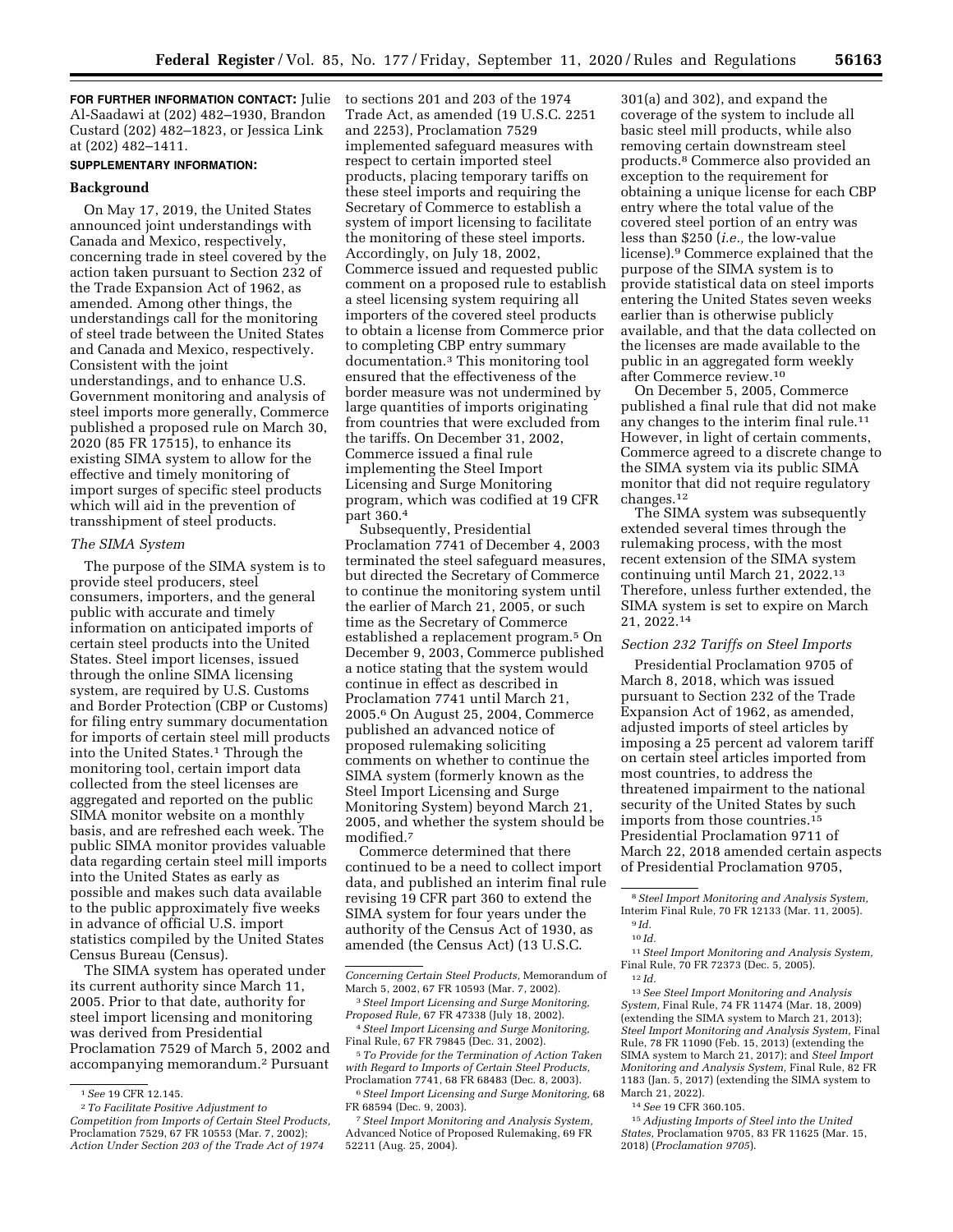**FOR FURTHER INFORMATION CONTACT:** Julie Al-Saadawi at (202) 482–1930, Brandon Custard (202) 482–1823, or Jessica Link at (202) 482–1411.

## **SUPPLEMENTARY INFORMATION:**

## **Background**

On May 17, 2019, the United States announced joint understandings with Canada and Mexico, respectively, concerning trade in steel covered by the action taken pursuant to Section 232 of the Trade Expansion Act of 1962, as amended. Among other things, the understandings call for the monitoring of steel trade between the United States and Canada and Mexico, respectively. Consistent with the joint understandings, and to enhance U.S. Government monitoring and analysis of steel imports more generally, Commerce published a proposed rule on March 30, 2020 (85 FR 17515), to enhance its existing SIMA system to allow for the effective and timely monitoring of import surges of specific steel products which will aid in the prevention of transshipment of steel products.

### *The SIMA System*

The purpose of the SIMA system is to provide steel producers, steel consumers, importers, and the general public with accurate and timely information on anticipated imports of certain steel products into the United States. Steel import licenses, issued through the online SIMA licensing system, are required by U.S. Customs and Border Protection (CBP or Customs) for filing entry summary documentation for imports of certain steel mill products into the United States.<sup>1</sup> Through the monitoring tool, certain import data collected from the steel licenses are aggregated and reported on the public SIMA monitor website on a monthly basis, and are refreshed each week. The public SIMA monitor provides valuable data regarding certain steel mill imports into the United States as early as possible and makes such data available to the public approximately five weeks in advance of official U.S. import statistics compiled by the United States Census Bureau (Census).

The SIMA system has operated under its current authority since March 11, 2005. Prior to that date, authority for steel import licensing and monitoring was derived from Presidential Proclamation 7529 of March 5, 2002 and accompanying memorandum.2 Pursuant

to sections 201 and 203 of the 1974 Trade Act, as amended (19 U.S.C. 2251 and 2253), Proclamation 7529 implemented safeguard measures with respect to certain imported steel products, placing temporary tariffs on these steel imports and requiring the Secretary of Commerce to establish a system of import licensing to facilitate the monitoring of these steel imports. Accordingly, on July 18, 2002, Commerce issued and requested public comment on a proposed rule to establish a steel licensing system requiring all importers of the covered steel products to obtain a license from Commerce prior to completing CBP entry summary documentation.3 This monitoring tool ensured that the effectiveness of the border measure was not undermined by large quantities of imports originating from countries that were excluded from the tariffs. On December 31, 2002, Commerce issued a final rule implementing the Steel Import Licensing and Surge Monitoring program, which was codified at 19 CFR part 360.4

Subsequently, Presidential Proclamation 7741 of December 4, 2003 terminated the steel safeguard measures, but directed the Secretary of Commerce to continue the monitoring system until the earlier of March 21, 2005, or such time as the Secretary of Commerce established a replacement program.5 On December 9, 2003, Commerce published a notice stating that the system would continue in effect as described in Proclamation 7741 until March 21, 2005.6 On August 25, 2004, Commerce published an advanced notice of proposed rulemaking soliciting comments on whether to continue the SIMA system (formerly known as the Steel Import Licensing and Surge Monitoring System) beyond March 21, 2005, and whether the system should be modified.7

Commerce determined that there continued to be a need to collect import data, and published an interim final rule revising 19 CFR part 360 to extend the SIMA system for four years under the authority of the Census Act of 1930, as amended (the Census Act) (13 U.S.C.

5*To Provide for the Termination of Action Taken with Regard to Imports of Certain Steel Products,*  Proclamation 7741, 68 FR 68483 (Dec. 8, 2003).

6*Steel Import Licensing and Surge Monitoring,* 68 FR 68594 (Dec. 9, 2003). 7*Steel Import Monitoring and Analysis System,* 

Advanced Notice of Proposed Rulemaking, 69 FR 52211 (Aug. 25, 2004).

301(a) and 302), and expand the coverage of the system to include all basic steel mill products, while also removing certain downstream steel products.8 Commerce also provided an exception to the requirement for obtaining a unique license for each CBP entry where the total value of the covered steel portion of an entry was less than \$250 (*i.e.,* the low-value license).9 Commerce explained that the purpose of the SIMA system is to provide statistical data on steel imports entering the United States seven weeks earlier than is otherwise publicly available, and that the data collected on the licenses are made available to the public in an aggregated form weekly after Commerce review.10

On December 5, 2005, Commerce published a final rule that did not make any changes to the interim final rule.11 However, in light of certain comments, Commerce agreed to a discrete change to the SIMA system via its public SIMA monitor that did not require regulatory changes.12

The SIMA system was subsequently extended several times through the rulemaking process, with the most recent extension of the SIMA system continuing until March 21, 2022.13 Therefore, unless further extended, the SIMA system is set to expire on March 21, 2022.14

### *Section 232 Tariffs on Steel Imports*

Presidential Proclamation 9705 of March 8, 2018, which was issued pursuant to Section 232 of the Trade Expansion Act of 1962, as amended, adjusted imports of steel articles by imposing a 25 percent ad valorem tariff on certain steel articles imported from most countries, to address the threatened impairment to the national security of the United States by such imports from those countries.15 Presidential Proclamation 9711 of March 22, 2018 amended certain aspects of Presidential Proclamation 9705,

11*Steel Import Monitoring and Analysis System,*  Final Rule, 70 FR 72373 (Dec. 5, 2005). 12 *Id.* 

13*See Steel Import Monitoring and Analysis System,* Final Rule, 74 FR 11474 (Mar. 18, 2009) (extending the SIMA system to March 21, 2013); *Steel Import Monitoring and Analysis System,* Final Rule, 78 FR 11090 (Feb. 15, 2013) (extending the SIMA system to March 21, 2017); and *Steel Import Monitoring and Analysis System,* Final Rule, 82 FR 1183 (Jan. 5, 2017) (extending the SIMA system to March 21, 2022).

14*See* 19 CFR 360.105.

15*Adjusting Imports of Steel into the United States,* Proclamation 9705, 83 FR 11625 (Mar. 15, 2018) (*Proclamation 9705*).

<sup>1</sup>*See* 19 CFR 12.145.

<sup>2</sup>*To Facilitate Positive Adjustment to Competition from Imports of Certain Steel Products,*  Proclamation 7529, 67 FR 10553 (Mar. 7, 2002); *Action Under Section 203 of the Trade Act of 1974* 

*Concerning Certain Steel Products,* Memorandum of March 5, 2002, 67 FR 10593 (Mar. 7, 2002).

<sup>3</sup>*Steel Import Licensing and Surge Monitoring, Proposed Rule,* 67 FR 47338 (July 18, 2002).

<sup>4</sup>*Steel Import Licensing and Surge Monitoring,*  Final Rule, 67 FR 79845 (Dec. 31, 2002).

<sup>8</sup>*Steel Import Monitoring and Analysis System,*  Interim Final Rule, 70 FR 12133 (Mar. 11, 2005). 9 *Id.* 

<sup>10</sup> *Id.*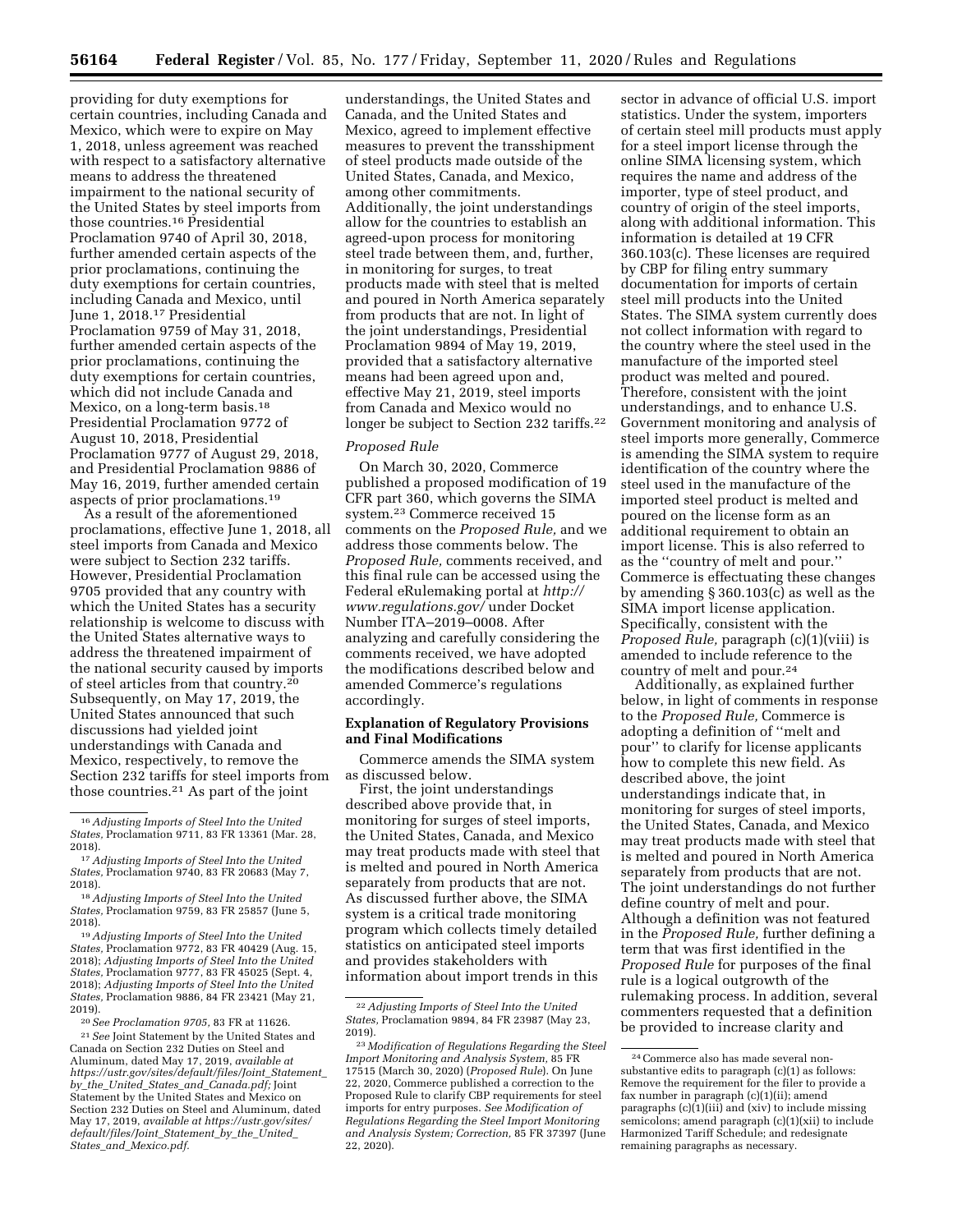providing for duty exemptions for certain countries, including Canada and Mexico, which were to expire on May 1, 2018, unless agreement was reached with respect to a satisfactory alternative means to address the threatened impairment to the national security of the United States by steel imports from those countries.16 Presidential Proclamation 9740 of April 30, 2018, further amended certain aspects of the prior proclamations, continuing the duty exemptions for certain countries, including Canada and Mexico, until June 1, 2018.17 Presidential Proclamation 9759 of May 31, 2018, further amended certain aspects of the prior proclamations, continuing the duty exemptions for certain countries, which did not include Canada and Mexico, on a long-term basis.<sup>18</sup> Presidential Proclamation 9772 of August 10, 2018, Presidential Proclamation 9777 of August 29, 2018, and Presidential Proclamation 9886 of May 16, 2019, further amended certain aspects of prior proclamations.19

As a result of the aforementioned proclamations, effective June 1, 2018, all steel imports from Canada and Mexico were subject to Section 232 tariffs. However, Presidential Proclamation 9705 provided that any country with which the United States has a security relationship is welcome to discuss with the United States alternative ways to address the threatened impairment of the national security caused by imports of steel articles from that country.20 Subsequently, on May 17, 2019, the United States announced that such discussions had yielded joint understandings with Canada and Mexico, respectively, to remove the Section 232 tariffs for steel imports from those countries.21 As part of the joint

2019). 20*See Proclamation 9705,* 83 FR at 11626. 21*See* Joint Statement by the United States and Canada on Section 232 Duties on Steel and Aluminum, dated May 17, 2019, *available at [https://ustr.gov/sites/default/files/Joint](https://ustr.gov/sites/default/files/Joint_Statement_by_the_United_States_and_Canada.pdf)*\_*Statement*\_ *by*\_*the*\_*United*\_*States*\_*and*\_*[Canada.pdf;](https://ustr.gov/sites/default/files/Joint_Statement_by_the_United_States_and_Canada.pdf)* Joint Statement by the United States and Mexico on Section 232 Duties on Steel and Aluminum, dated May 17, 2019, *available at [https://ustr.gov/sites/](https://ustr.gov/sites/default/files/Joint_Statement_by_the_United_States_and_Mexico.pdf) [default/files/Joint](https://ustr.gov/sites/default/files/Joint_Statement_by_the_United_States_and_Mexico.pdf)*\_*Statement*\_*by*\_*the*\_*United*\_ *States*\_*and*\_*[Mexico.pdf.](https://ustr.gov/sites/default/files/Joint_Statement_by_the_United_States_and_Mexico.pdf)* 

understandings, the United States and Canada, and the United States and Mexico, agreed to implement effective measures to prevent the transshipment of steel products made outside of the United States, Canada, and Mexico, among other commitments. Additionally, the joint understandings allow for the countries to establish an agreed-upon process for monitoring steel trade between them, and, further, in monitoring for surges, to treat products made with steel that is melted and poured in North America separately from products that are not. In light of the joint understandings, Presidential Proclamation 9894 of May 19, 2019, provided that a satisfactory alternative means had been agreed upon and, effective May 21, 2019, steel imports from Canada and Mexico would no longer be subject to Section 232 tariffs.<sup>22</sup>

### *Proposed Rule*

On March 30, 2020, Commerce published a proposed modification of 19 CFR part 360, which governs the SIMA system.23 Commerce received 15 comments on the *Proposed Rule,* and we address those comments below. The *Proposed Rule,* comments received, and this final rule can be accessed using the Federal eRulemaking portal at *[http://](http://www.regulations.gov/) [www.regulations.gov/](http://www.regulations.gov/)* under Docket Number ITA–2019–0008. After analyzing and carefully considering the comments received, we have adopted the modifications described below and amended Commerce's regulations accordingly.

### **Explanation of Regulatory Provisions and Final Modifications**

Commerce amends the SIMA system as discussed below.

First, the joint understandings described above provide that, in monitoring for surges of steel imports, the United States, Canada, and Mexico may treat products made with steel that is melted and poured in North America separately from products that are not. As discussed further above, the SIMA system is a critical trade monitoring program which collects timely detailed statistics on anticipated steel imports and provides stakeholders with information about import trends in this

sector in advance of official U.S. import statistics. Under the system, importers of certain steel mill products must apply for a steel import license through the online SIMA licensing system, which requires the name and address of the importer, type of steel product, and country of origin of the steel imports, along with additional information. This information is detailed at 19 CFR 360.103(c). These licenses are required by CBP for filing entry summary documentation for imports of certain steel mill products into the United States. The SIMA system currently does not collect information with regard to the country where the steel used in the manufacture of the imported steel product was melted and poured. Therefore, consistent with the joint understandings, and to enhance U.S. Government monitoring and analysis of steel imports more generally, Commerce is amending the SIMA system to require identification of the country where the steel used in the manufacture of the imported steel product is melted and poured on the license form as an additional requirement to obtain an import license. This is also referred to as the ''country of melt and pour.'' Commerce is effectuating these changes by amending § 360.103(c) as well as the SIMA import license application. Specifically, consistent with the *Proposed Rule,* paragraph (c)(1)(viii) is amended to include reference to the country of melt and pour.24

Additionally, as explained further below, in light of comments in response to the *Proposed Rule,* Commerce is adopting a definition of ''melt and pour'' to clarify for license applicants how to complete this new field. As described above, the joint understandings indicate that, in monitoring for surges of steel imports, the United States, Canada, and Mexico may treat products made with steel that is melted and poured in North America separately from products that are not. The joint understandings do not further define country of melt and pour. Although a definition was not featured in the *Proposed Rule,* further defining a term that was first identified in the *Proposed Rule* for purposes of the final rule is a logical outgrowth of the rulemaking process. In addition, several commenters requested that a definition be provided to increase clarity and

<sup>16</sup>*Adjusting Imports of Steel Into the United States,* Proclamation 9711, 83 FR 13361 (Mar. 28, 2018). 17*Adjusting Imports of Steel Into the United* 

*States,* Proclamation 9740, 83 FR 20683 (May 7, 2018). 18*Adjusting Imports of Steel Into the United* 

*States,* Proclamation 9759, 83 FR 25857 (June 5, 2018). 19*Adjusting Imports of Steel Into the United* 

*States,* Proclamation 9772, 83 FR 40429 (Aug. 15, 2018); *Adjusting Imports of Steel Into the United States,* Proclamation 9777, 83 FR 45025 (Sept. 4, 2018); *Adjusting Imports of Steel Into the United States,* Proclamation 9886, 84 FR 23421 (May 21,

<sup>22</sup>*Adjusting Imports of Steel Into the United States,* Proclamation 9894, 84 FR 23987 (May 23, 2019).

<sup>23</sup> *Modification of Regulations Regarding the Steel Import Monitoring and Analysis System,* 85 FR 17515 (March 30, 2020) (*Proposed Rule*). On June 22, 2020, Commerce published a correction to the Proposed Rule to clarify CBP requirements for steel imports for entry purposes. *See Modification of Regulations Regarding the Steel Import Monitoring and Analysis System; Correction,* 85 FR 37397 (June 22, 2020).

<sup>24</sup>Commerce also has made several nonsubstantive edits to paragraph (c)(1) as follows: Remove the requirement for the filer to provide a fax number in paragraph (c)(1)(ii); amend paragraphs  $(c)(1)(iii)$  and (xiv) to include missing semicolons; amend paragraph (c)(1)(xii) to include Harmonized Tariff Schedule; and redesignate remaining paragraphs as necessary.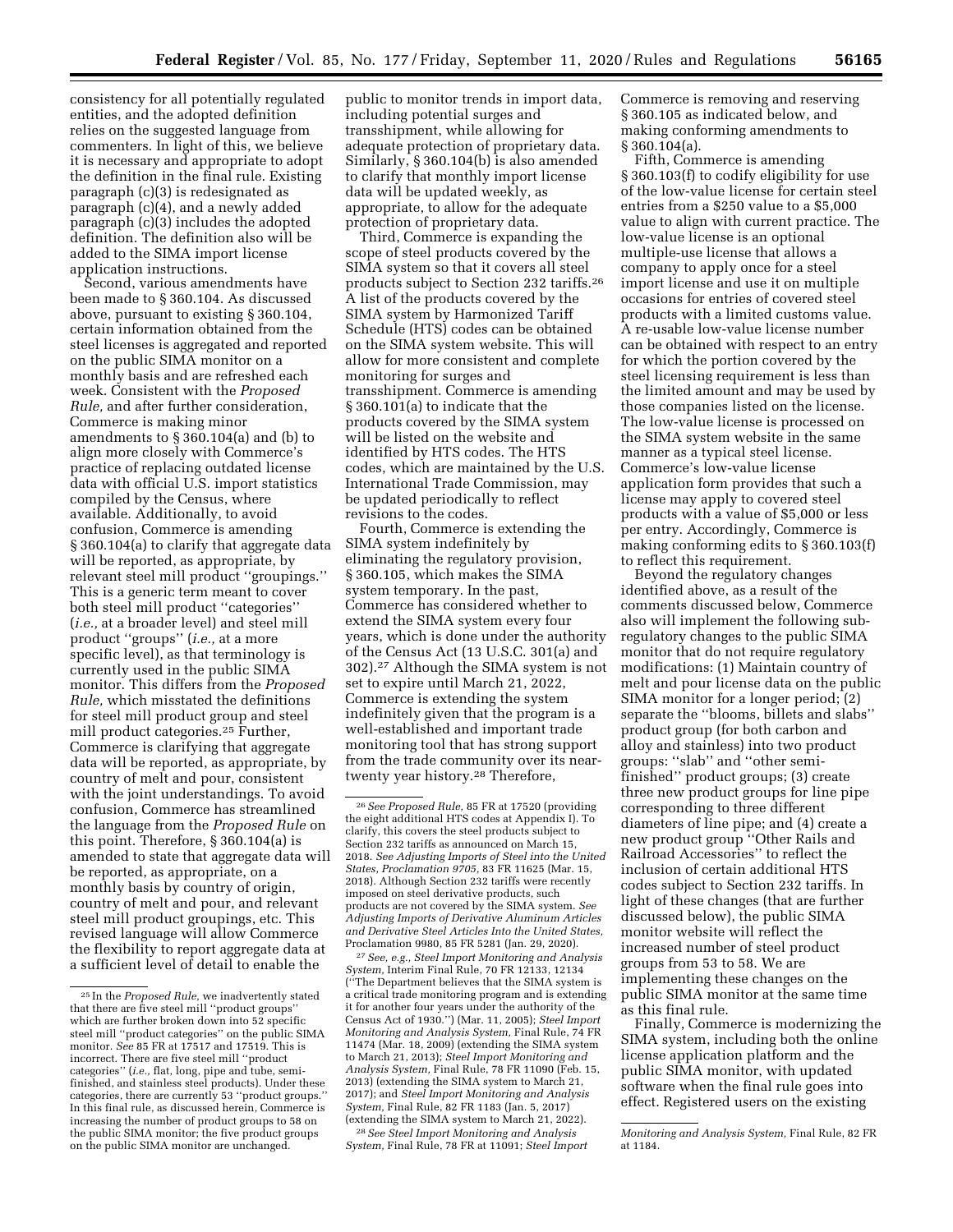consistency for all potentially regulated entities, and the adopted definition relies on the suggested language from commenters. In light of this, we believe it is necessary and appropriate to adopt the definition in the final rule. Existing paragraph (c)(3) is redesignated as paragraph (c)(4), and a newly added paragraph (c)(3) includes the adopted definition. The definition also will be added to the SIMA import license application instructions.

Second, various amendments have been made to § 360.104. As discussed above, pursuant to existing § 360.104, certain information obtained from the steel licenses is aggregated and reported on the public SIMA monitor on a monthly basis and are refreshed each week. Consistent with the *Proposed Rule,* and after further consideration, Commerce is making minor amendments to § 360.104(a) and (b) to align more closely with Commerce's practice of replacing outdated license data with official U.S. import statistics compiled by the Census, where available. Additionally, to avoid confusion, Commerce is amending § 360.104(a) to clarify that aggregate data will be reported, as appropriate, by relevant steel mill product ''groupings.'' This is a generic term meant to cover both steel mill product ''categories'' (*i.e.,* at a broader level) and steel mill product ''groups'' (*i.e.,* at a more specific level), as that terminology is currently used in the public SIMA monitor. This differs from the *Proposed Rule,* which misstated the definitions for steel mill product group and steel mill product categories.25 Further, Commerce is clarifying that aggregate data will be reported, as appropriate, by country of melt and pour, consistent with the joint understandings. To avoid confusion, Commerce has streamlined the language from the *Proposed Rule* on this point. Therefore, § 360.104(a) is amended to state that aggregate data will be reported, as appropriate, on a monthly basis by country of origin, country of melt and pour, and relevant steel mill product groupings, etc. This revised language will allow Commerce the flexibility to report aggregate data at a sufficient level of detail to enable the

public to monitor trends in import data, including potential surges and transshipment, while allowing for adequate protection of proprietary data. Similarly, § 360.104(b) is also amended to clarify that monthly import license data will be updated weekly, as appropriate, to allow for the adequate protection of proprietary data.

Third, Commerce is expanding the scope of steel products covered by the SIMA system so that it covers all steel products subject to Section 232 tariffs.26 A list of the products covered by the SIMA system by Harmonized Tariff Schedule (HTS) codes can be obtained on the SIMA system website. This will allow for more consistent and complete monitoring for surges and transshipment. Commerce is amending § 360.101(a) to indicate that the products covered by the SIMA system will be listed on the website and identified by HTS codes. The HTS codes, which are maintained by the U.S. International Trade Commission, may be updated periodically to reflect revisions to the codes.

Fourth, Commerce is extending the SIMA system indefinitely by eliminating the regulatory provision, § 360.105, which makes the SIMA system temporary. In the past, Commerce has considered whether to extend the SIMA system every four years, which is done under the authority of the Census Act (13 U.S.C. 301(a) and 302).27 Although the SIMA system is not set to expire until March 21, 2022, Commerce is extending the system indefinitely given that the program is a well-established and important trade monitoring tool that has strong support from the trade community over its neartwenty year history.28 Therefore,

27*See, e.g., Steel Import Monitoring and Analysis System,* Interim Final Rule, 70 FR 12133, 12134 (''The Department believes that the SIMA system is a critical trade monitoring program and is extending it for another four years under the authority of the Census Act of 1930.'') (Mar. 11, 2005); *Steel Import Monitoring and Analysis System,* Final Rule, 74 FR 11474 (Mar. 18, 2009) (extending the SIMA system to March 21, 2013); *Steel Import Monitoring and Analysis System,* Final Rule, 78 FR 11090 (Feb. 15, 2013) (extending the SIMA system to March 21, 2017); and *Steel Import Monitoring and Analysis System,* Final Rule, 82 FR 1183 (Jan. 5, 2017) (extending the SIMA system to March 21, 2022).

28*See Steel Import Monitoring and Analysis System,* Final Rule, 78 FR at 11091; *Steel Import*  Commerce is removing and reserving § 360.105 as indicated below, and making conforming amendments to § 360.104(a).

Fifth, Commerce is amending § 360.103(f) to codify eligibility for use of the low-value license for certain steel entries from a \$250 value to a \$5,000 value to align with current practice. The low-value license is an optional multiple-use license that allows a company to apply once for a steel import license and use it on multiple occasions for entries of covered steel products with a limited customs value. A re-usable low-value license number can be obtained with respect to an entry for which the portion covered by the steel licensing requirement is less than the limited amount and may be used by those companies listed on the license. The low-value license is processed on the SIMA system website in the same manner as a typical steel license. Commerce's low-value license application form provides that such a license may apply to covered steel products with a value of \$5,000 or less per entry. Accordingly, Commerce is making conforming edits to § 360.103(f) to reflect this requirement.

Beyond the regulatory changes identified above, as a result of the comments discussed below, Commerce also will implement the following subregulatory changes to the public SIMA monitor that do not require regulatory modifications: (1) Maintain country of melt and pour license data on the public SIMA monitor for a longer period; (2) separate the ''blooms, billets and slabs'' product group (for both carbon and alloy and stainless) into two product groups: ''slab'' and ''other semifinished'' product groups; (3) create three new product groups for line pipe corresponding to three different diameters of line pipe; and (4) create a new product group ''Other Rails and Railroad Accessories'' to reflect the inclusion of certain additional HTS codes subject to Section 232 tariffs. In light of these changes (that are further discussed below), the public SIMA monitor website will reflect the increased number of steel product groups from 53 to 58. We are implementing these changes on the public SIMA monitor at the same time as this final rule.

Finally, Commerce is modernizing the SIMA system, including both the online license application platform and the public SIMA monitor, with updated software when the final rule goes into effect. Registered users on the existing

<sup>25</sup> In the *Proposed Rule,* we inadvertently stated that there are five steel mill ''product groups'' which are further broken down into 52 specific steel mill ''product categories'' on the public SIMA monitor. *See* 85 FR at 17517 and 17519. This is incorrect. There are five steel mill ''product categories'' (*i.e.,* flat, long, pipe and tube, semifinished, and stainless steel products). Under these categories, there are currently 53 ''product groups.'' In this final rule, as discussed herein, Commerce is increasing the number of product groups to 58 on the public SIMA monitor; the five product groups on the public SIMA monitor are unchanged.

<sup>26</sup>*See Proposed Rule,* 85 FR at 17520 (providing the eight additional HTS codes at Appendix I). To clarify, this covers the steel products subject to Section 232 tariffs as announced on March 15, 2018. *See Adjusting Imports of Steel into the United States, Proclamation 9705,* 83 FR 11625 (Mar. 15, 2018). Although Section 232 tariffs were recently imposed on steel derivative products, such products are not covered by the SIMA system. *See Adjusting Imports of Derivative Aluminum Articles and Derivative Steel Articles Into the United States,*  Proclamation 9980, 85 FR 5281 (Jan. 29, 2020).

*Monitoring and Analysis System,* Final Rule, 82 FR at 1184.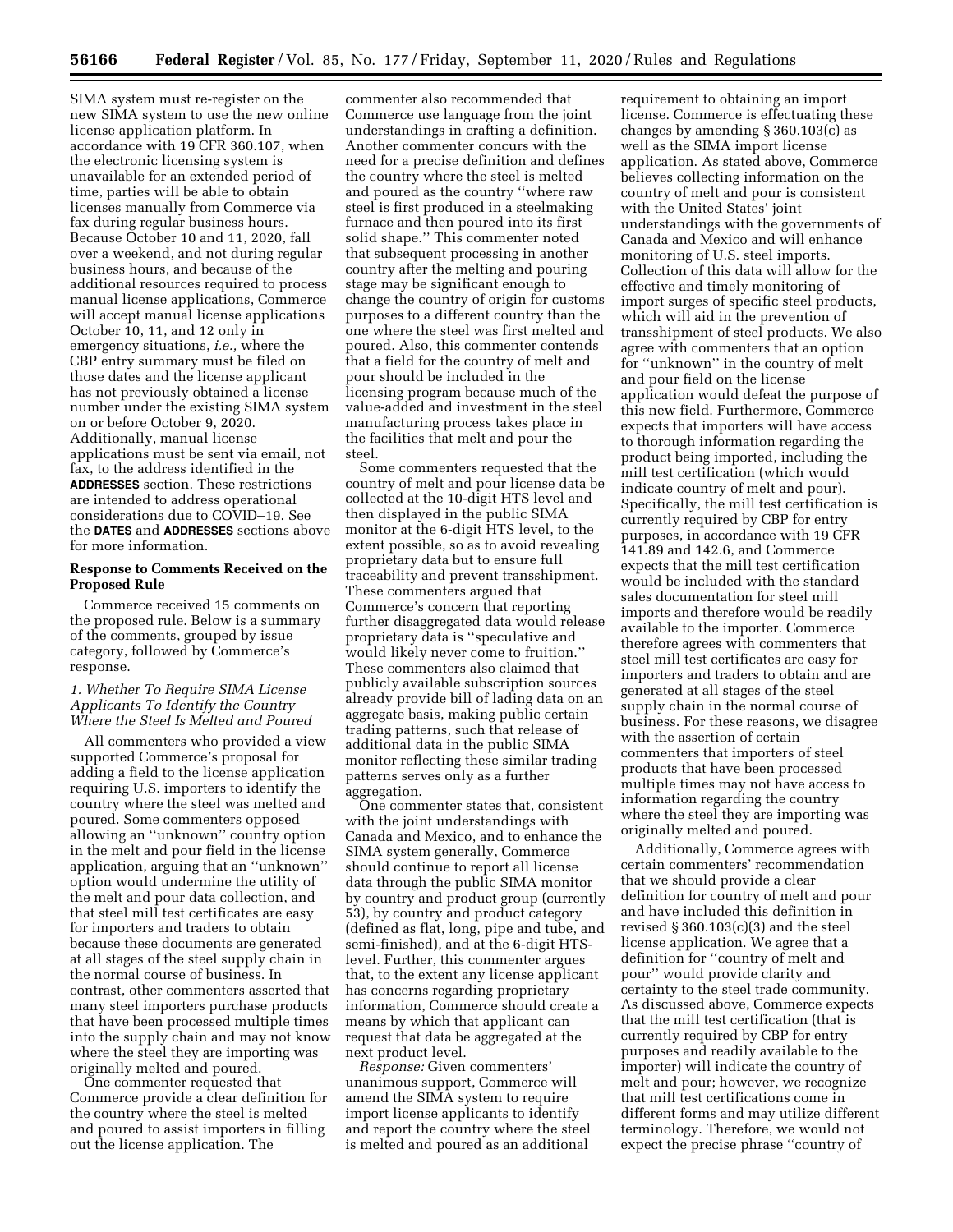SIMA system must re-register on the new SIMA system to use the new online license application platform. In accordance with 19 CFR 360.107, when the electronic licensing system is unavailable for an extended period of time, parties will be able to obtain licenses manually from Commerce via fax during regular business hours. Because October 10 and 11, 2020, fall over a weekend, and not during regular business hours, and because of the additional resources required to process manual license applications, Commerce will accept manual license applications October 10, 11, and 12 only in emergency situations, *i.e.,* where the CBP entry summary must be filed on those dates and the license applicant has not previously obtained a license number under the existing SIMA system on or before October 9, 2020. Additionally, manual license applications must be sent via email, not fax, to the address identified in the **ADDRESSES** section. These restrictions are intended to address operational considerations due to COVID–19. See the **DATES** and **ADDRESSES** sections above for more information.

## **Response to Comments Received on the Proposed Rule**

Commerce received 15 comments on the proposed rule. Below is a summary of the comments, grouped by issue category, followed by Commerce's response.

## *1. Whether To Require SIMA License Applicants To Identify the Country Where the Steel Is Melted and Poured*

All commenters who provided a view supported Commerce's proposal for adding a field to the license application requiring U.S. importers to identify the country where the steel was melted and poured. Some commenters opposed allowing an ''unknown'' country option in the melt and pour field in the license application, arguing that an ''unknown'' option would undermine the utility of the melt and pour data collection, and that steel mill test certificates are easy for importers and traders to obtain because these documents are generated at all stages of the steel supply chain in the normal course of business. In contrast, other commenters asserted that many steel importers purchase products that have been processed multiple times into the supply chain and may not know where the steel they are importing was originally melted and poured.

One commenter requested that Commerce provide a clear definition for the country where the steel is melted and poured to assist importers in filling out the license application. The

commenter also recommended that Commerce use language from the joint understandings in crafting a definition. Another commenter concurs with the need for a precise definition and defines the country where the steel is melted and poured as the country ''where raw steel is first produced in a steelmaking furnace and then poured into its first solid shape.'' This commenter noted that subsequent processing in another country after the melting and pouring stage may be significant enough to change the country of origin for customs purposes to a different country than the one where the steel was first melted and poured. Also, this commenter contends that a field for the country of melt and pour should be included in the licensing program because much of the value-added and investment in the steel manufacturing process takes place in the facilities that melt and pour the steel.

Some commenters requested that the country of melt and pour license data be collected at the 10-digit HTS level and then displayed in the public SIMA monitor at the 6-digit HTS level, to the extent possible, so as to avoid revealing proprietary data but to ensure full traceability and prevent transshipment. These commenters argued that Commerce's concern that reporting further disaggregated data would release proprietary data is ''speculative and would likely never come to fruition.'' These commenters also claimed that publicly available subscription sources already provide bill of lading data on an aggregate basis, making public certain trading patterns, such that release of additional data in the public SIMA monitor reflecting these similar trading patterns serves only as a further aggregation.

One commenter states that, consistent with the joint understandings with Canada and Mexico, and to enhance the SIMA system generally, Commerce should continue to report all license data through the public SIMA monitor by country and product group (currently 53), by country and product category (defined as flat, long, pipe and tube, and semi-finished), and at the 6-digit HTSlevel. Further, this commenter argues that, to the extent any license applicant has concerns regarding proprietary information, Commerce should create a means by which that applicant can request that data be aggregated at the next product level.

*Response:* Given commenters' unanimous support, Commerce will amend the SIMA system to require import license applicants to identify and report the country where the steel is melted and poured as an additional

requirement to obtaining an import license. Commerce is effectuating these changes by amending § 360.103(c) as well as the SIMA import license application. As stated above, Commerce believes collecting information on the country of melt and pour is consistent with the United States' joint understandings with the governments of Canada and Mexico and will enhance monitoring of U.S. steel imports. Collection of this data will allow for the effective and timely monitoring of import surges of specific steel products, which will aid in the prevention of transshipment of steel products. We also agree with commenters that an option for ''unknown'' in the country of melt and pour field on the license application would defeat the purpose of this new field. Furthermore, Commerce expects that importers will have access to thorough information regarding the product being imported, including the mill test certification (which would indicate country of melt and pour). Specifically, the mill test certification is currently required by CBP for entry purposes, in accordance with 19 CFR 141.89 and 142.6, and Commerce expects that the mill test certification would be included with the standard sales documentation for steel mill imports and therefore would be readily available to the importer. Commerce therefore agrees with commenters that steel mill test certificates are easy for importers and traders to obtain and are generated at all stages of the steel supply chain in the normal course of business. For these reasons, we disagree with the assertion of certain commenters that importers of steel products that have been processed multiple times may not have access to information regarding the country where the steel they are importing was originally melted and poured.

Additionally, Commerce agrees with certain commenters' recommendation that we should provide a clear definition for country of melt and pour and have included this definition in revised  $\S 360.103(c)(3)$  and the steel license application. We agree that a definition for ''country of melt and pour'' would provide clarity and certainty to the steel trade community. As discussed above, Commerce expects that the mill test certification (that is currently required by CBP for entry purposes and readily available to the importer) will indicate the country of melt and pour; however, we recognize that mill test certifications come in different forms and may utilize different terminology. Therefore, we would not expect the precise phrase ''country of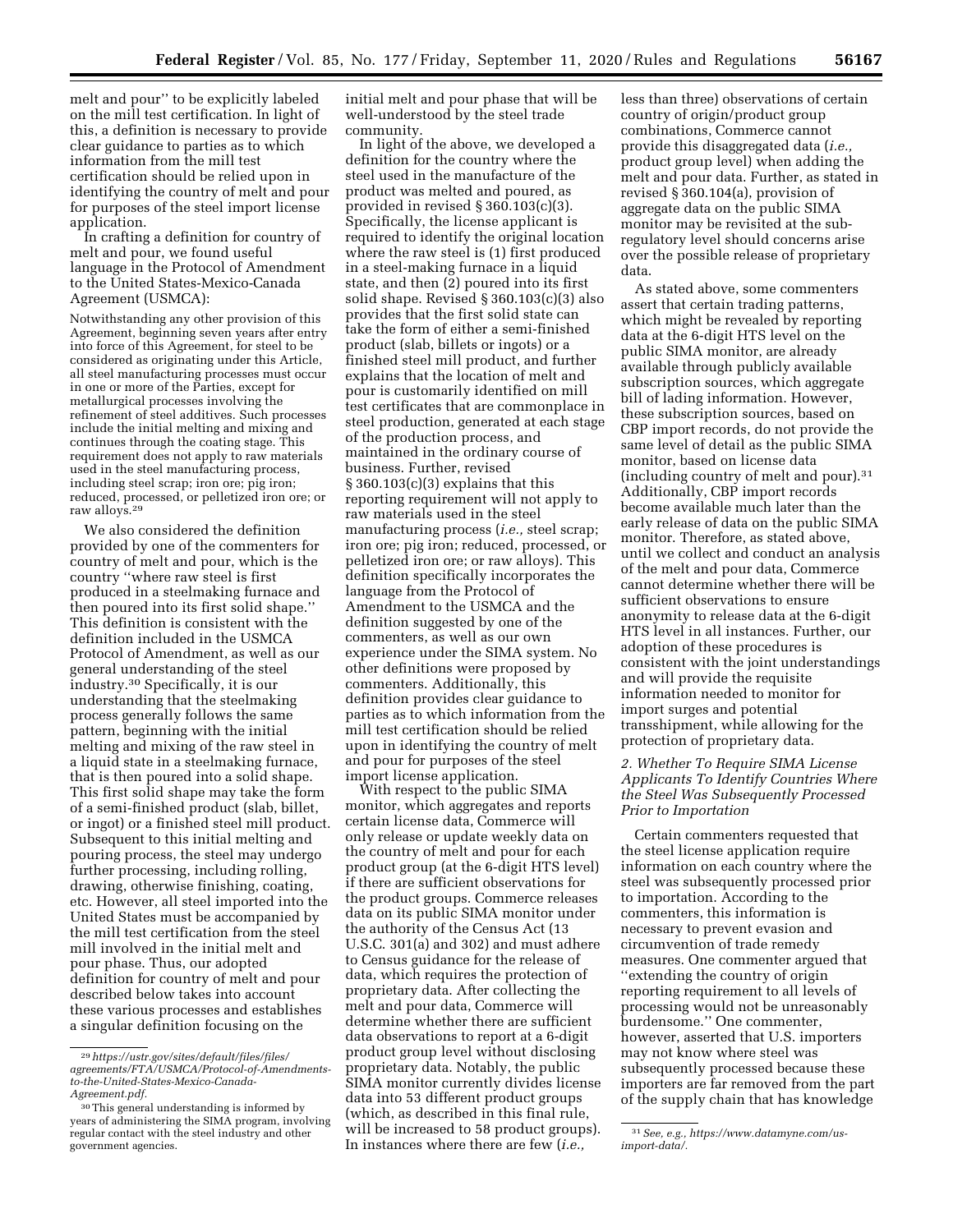melt and pour'' to be explicitly labeled on the mill test certification. In light of this, a definition is necessary to provide clear guidance to parties as to which information from the mill test certification should be relied upon in identifying the country of melt and pour for purposes of the steel import license application.

In crafting a definition for country of melt and pour, we found useful language in the Protocol of Amendment to the United States-Mexico-Canada Agreement (USMCA):

Notwithstanding any other provision of this Agreement, beginning seven years after entry into force of this Agreement, for steel to be considered as originating under this Article, all steel manufacturing processes must occur in one or more of the Parties, except for metallurgical processes involving the refinement of steel additives. Such processes include the initial melting and mixing and continues through the coating stage. This requirement does not apply to raw materials used in the steel manufacturing process, including steel scrap; iron ore; pig iron; reduced, processed, or pelletized iron ore; or raw alloys.29

We also considered the definition provided by one of the commenters for country of melt and pour, which is the country ''where raw steel is first produced in a steelmaking furnace and then poured into its first solid shape.'' This definition is consistent with the definition included in the USMCA Protocol of Amendment, as well as our general understanding of the steel industry.30 Specifically, it is our understanding that the steelmaking process generally follows the same pattern, beginning with the initial melting and mixing of the raw steel in a liquid state in a steelmaking furnace, that is then poured into a solid shape. This first solid shape may take the form of a semi-finished product (slab, billet, or ingot) or a finished steel mill product. Subsequent to this initial melting and pouring process, the steel may undergo further processing, including rolling, drawing, otherwise finishing, coating, etc. However, all steel imported into the United States must be accompanied by the mill test certification from the steel mill involved in the initial melt and pour phase. Thus, our adopted definition for country of melt and pour described below takes into account these various processes and establishes a singular definition focusing on the

initial melt and pour phase that will be well-understood by the steel trade community.

In light of the above, we developed a definition for the country where the steel used in the manufacture of the product was melted and poured, as provided in revised § 360.103(c)(3). Specifically, the license applicant is required to identify the original location where the raw steel is (1) first produced in a steel-making furnace in a liquid state, and then (2) poured into its first solid shape. Revised § 360.103(c)(3) also provides that the first solid state can take the form of either a semi-finished product (slab, billets or ingots) or a finished steel mill product, and further explains that the location of melt and pour is customarily identified on mill test certificates that are commonplace in steel production, generated at each stage of the production process, and maintained in the ordinary course of business. Further, revised  $\S 360.103(c)(3)$  explains that this reporting requirement will not apply to raw materials used in the steel manufacturing process (*i.e.,* steel scrap; iron ore; pig iron; reduced, processed, or pelletized iron ore; or raw alloys). This definition specifically incorporates the language from the Protocol of Amendment to the USMCA and the definition suggested by one of the commenters, as well as our own experience under the SIMA system. No other definitions were proposed by commenters. Additionally, this definition provides clear guidance to parties as to which information from the mill test certification should be relied upon in identifying the country of melt and pour for purposes of the steel import license application.

With respect to the public SIMA monitor, which aggregates and reports certain license data, Commerce will only release or update weekly data on the country of melt and pour for each product group (at the 6-digit HTS level) if there are sufficient observations for the product groups. Commerce releases data on its public SIMA monitor under the authority of the Census Act (13 U.S.C. 301(a) and 302) and must adhere to Census guidance for the release of data, which requires the protection of proprietary data. After collecting the melt and pour data, Commerce will determine whether there are sufficient data observations to report at a 6-digit product group level without disclosing proprietary data. Notably, the public SIMA monitor currently divides license data into 53 different product groups (which, as described in this final rule, will be increased to 58 product groups). In instances where there are few (*i.e.,* 

less than three) observations of certain country of origin/product group combinations, Commerce cannot provide this disaggregated data (*i.e.,*  product group level) when adding the melt and pour data. Further, as stated in revised § 360.104(a), provision of aggregate data on the public SIMA monitor may be revisited at the subregulatory level should concerns arise over the possible release of proprietary data.

As stated above, some commenters assert that certain trading patterns, which might be revealed by reporting data at the 6-digit HTS level on the public SIMA monitor, are already available through publicly available subscription sources, which aggregate bill of lading information. However, these subscription sources, based on CBP import records, do not provide the same level of detail as the public SIMA monitor, based on license data (including country of melt and pour).31 Additionally, CBP import records become available much later than the early release of data on the public SIMA monitor. Therefore, as stated above, until we collect and conduct an analysis of the melt and pour data, Commerce cannot determine whether there will be sufficient observations to ensure anonymity to release data at the 6-digit HTS level in all instances. Further, our adoption of these procedures is consistent with the joint understandings and will provide the requisite information needed to monitor for import surges and potential transshipment, while allowing for the protection of proprietary data.

## *2. Whether To Require SIMA License Applicants To Identify Countries Where the Steel Was Subsequently Processed Prior to Importation*

Certain commenters requested that the steel license application require information on each country where the steel was subsequently processed prior to importation. According to the commenters, this information is necessary to prevent evasion and circumvention of trade remedy measures. One commenter argued that ''extending the country of origin reporting requirement to all levels of processing would not be unreasonably burdensome.'' One commenter, however, asserted that U.S. importers may not know where steel was subsequently processed because these importers are far removed from the part of the supply chain that has knowledge

<sup>29</sup>*[https://ustr.gov/sites/default/files/files/](https://ustr.gov/sites/default/files/files/agreements/FTA/USMCA/Protocol-of-Amendments-to-the-United-States-Mexico-Canada-Agreement.pdf)  [agreements/FTA/USMCA/Protocol-of-Amendments](https://ustr.gov/sites/default/files/files/agreements/FTA/USMCA/Protocol-of-Amendments-to-the-United-States-Mexico-Canada-Agreement.pdf)[to-the-United-States-Mexico-Canada-](https://ustr.gov/sites/default/files/files/agreements/FTA/USMCA/Protocol-of-Amendments-to-the-United-States-Mexico-Canada-Agreement.pdf)[Agreement.pdf.](https://ustr.gov/sites/default/files/files/agreements/FTA/USMCA/Protocol-of-Amendments-to-the-United-States-Mexico-Canada-Agreement.pdf)* 

<sup>30</sup>This general understanding is informed by years of administering the SIMA program, involving regular contact with the steel industry and other government agencies.

<sup>31</sup>*See, e.g., [https://www.datamyne.com/us](https://www.datamyne.com/us-import-data/)[import-data/.](https://www.datamyne.com/us-import-data/)*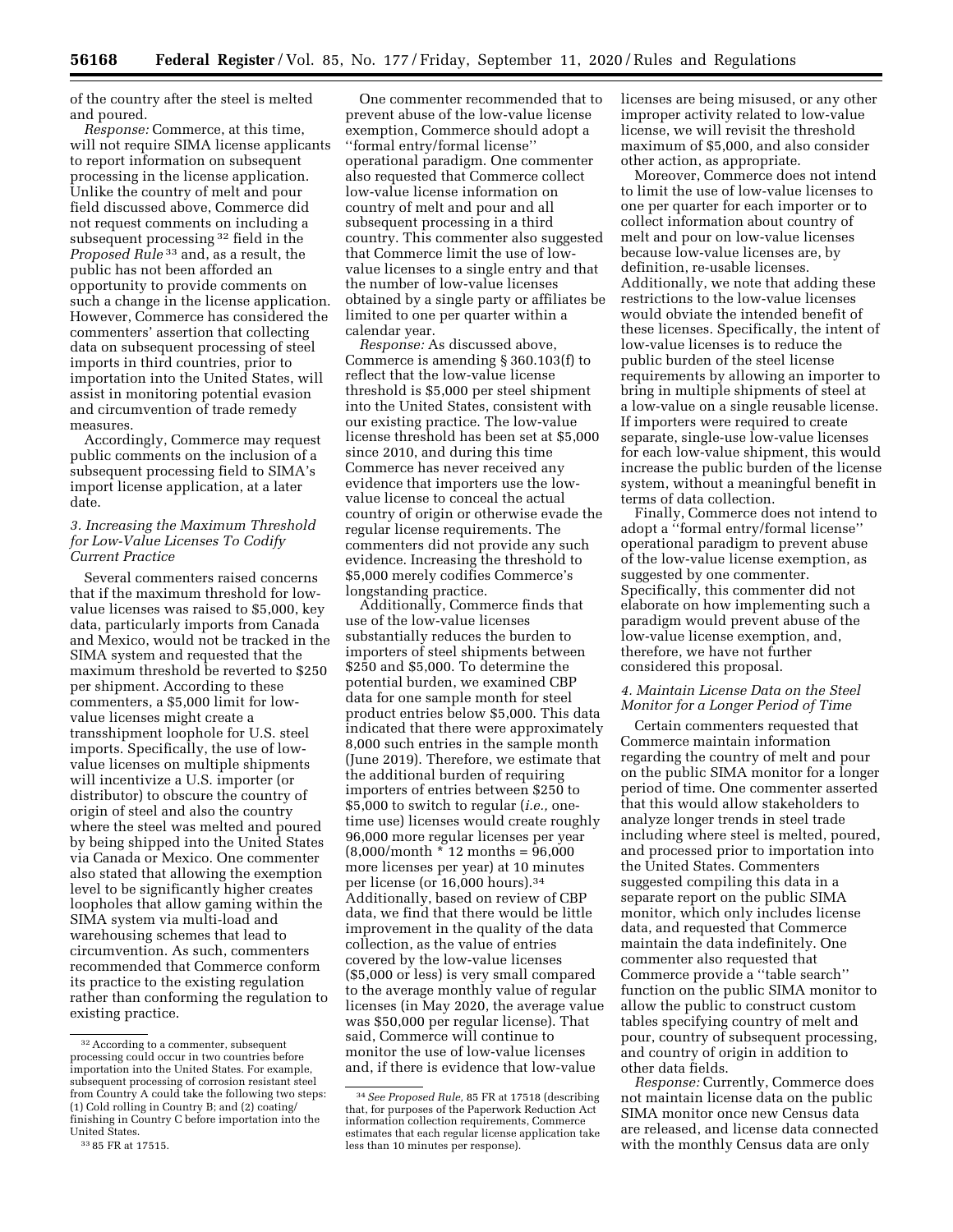of the country after the steel is melted and poured.

*Response:* Commerce, at this time, will not require SIMA license applicants to report information on subsequent processing in the license application. Unlike the country of melt and pour field discussed above, Commerce did not request comments on including a subsequent processing 32 field in the *Proposed Rule* 33 and, as a result, the public has not been afforded an opportunity to provide comments on such a change in the license application. However, Commerce has considered the commenters' assertion that collecting data on subsequent processing of steel imports in third countries, prior to importation into the United States, will assist in monitoring potential evasion and circumvention of trade remedy measures.

Accordingly, Commerce may request public comments on the inclusion of a subsequent processing field to SIMA's import license application, at a later date.

## *3. Increasing the Maximum Threshold for Low-Value Licenses To Codify Current Practice*

Several commenters raised concerns that if the maximum threshold for lowvalue licenses was raised to \$5,000, key data, particularly imports from Canada and Mexico, would not be tracked in the SIMA system and requested that the maximum threshold be reverted to \$250 per shipment. According to these commenters, a \$5,000 limit for lowvalue licenses might create a transshipment loophole for U.S. steel imports. Specifically, the use of lowvalue licenses on multiple shipments will incentivize a U.S. importer (or distributor) to obscure the country of origin of steel and also the country where the steel was melted and poured by being shipped into the United States via Canada or Mexico. One commenter also stated that allowing the exemption level to be significantly higher creates loopholes that allow gaming within the SIMA system via multi-load and warehousing schemes that lead to circumvention. As such, commenters recommended that Commerce conform its practice to the existing regulation rather than conforming the regulation to existing practice.

One commenter recommended that to prevent abuse of the low-value license exemption, Commerce should adopt a ''formal entry/formal license'' operational paradigm. One commenter also requested that Commerce collect low-value license information on country of melt and pour and all subsequent processing in a third country. This commenter also suggested that Commerce limit the use of lowvalue licenses to a single entry and that the number of low-value licenses obtained by a single party or affiliates be limited to one per quarter within a calendar year.

*Response:* As discussed above, Commerce is amending § 360.103(f) to reflect that the low-value license threshold is \$5,000 per steel shipment into the United States, consistent with our existing practice. The low-value license threshold has been set at \$5,000 since 2010, and during this time Commerce has never received any evidence that importers use the lowvalue license to conceal the actual country of origin or otherwise evade the regular license requirements. The commenters did not provide any such evidence. Increasing the threshold to \$5,000 merely codifies Commerce's longstanding practice.

Additionally, Commerce finds that use of the low-value licenses substantially reduces the burden to importers of steel shipments between \$250 and \$5,000. To determine the potential burden, we examined CBP data for one sample month for steel product entries below \$5,000. This data indicated that there were approximately 8,000 such entries in the sample month (June 2019). Therefore, we estimate that the additional burden of requiring importers of entries between \$250 to \$5,000 to switch to regular (*i.e.,* onetime use) licenses would create roughly 96,000 more regular licenses per year  $(8,000/month * 12 months = 96,000)$ more licenses per year) at 10 minutes per license (or 16,000 hours).34 Additionally, based on review of CBP data, we find that there would be little improvement in the quality of the data collection, as the value of entries covered by the low-value licenses (\$5,000 or less) is very small compared to the average monthly value of regular licenses (in May 2020, the average value was \$50,000 per regular license). That said, Commerce will continue to monitor the use of low-value licenses and, if there is evidence that low-value

licenses are being misused, or any other improper activity related to low-value license, we will revisit the threshold maximum of \$5,000, and also consider other action, as appropriate.

Moreover, Commerce does not intend to limit the use of low-value licenses to one per quarter for each importer or to collect information about country of melt and pour on low-value licenses because low-value licenses are, by definition, re-usable licenses. Additionally, we note that adding these restrictions to the low-value licenses would obviate the intended benefit of these licenses. Specifically, the intent of low-value licenses is to reduce the public burden of the steel license requirements by allowing an importer to bring in multiple shipments of steel at a low-value on a single reusable license. If importers were required to create separate, single-use low-value licenses for each low-value shipment, this would increase the public burden of the license system, without a meaningful benefit in terms of data collection.

Finally, Commerce does not intend to adopt a ''formal entry/formal license'' operational paradigm to prevent abuse of the low-value license exemption, as suggested by one commenter. Specifically, this commenter did not elaborate on how implementing such a paradigm would prevent abuse of the low-value license exemption, and, therefore, we have not further considered this proposal.

# *4. Maintain License Data on the Steel Monitor for a Longer Period of Time*

Certain commenters requested that Commerce maintain information regarding the country of melt and pour on the public SIMA monitor for a longer period of time. One commenter asserted that this would allow stakeholders to analyze longer trends in steel trade including where steel is melted, poured, and processed prior to importation into the United States. Commenters suggested compiling this data in a separate report on the public SIMA monitor, which only includes license data, and requested that Commerce maintain the data indefinitely. One commenter also requested that Commerce provide a ''table search'' function on the public SIMA monitor to allow the public to construct custom tables specifying country of melt and pour, country of subsequent processing, and country of origin in addition to other data fields.

*Response:* Currently, Commerce does not maintain license data on the public SIMA monitor once new Census data are released, and license data connected with the monthly Census data are only

<sup>&</sup>lt;sup>32</sup> According to a commenter, subsequent processing could occur in two countries before importation into the United States. For example, subsequent processing of corrosion resistant steel from Country A could take the following two steps: (1) Cold rolling in Country B; and (2) coating/ finishing in Country C before importation into the United States.

<sup>33</sup> 85 FR at 17515.

<sup>34</sup>*See Proposed Rule,* 85 FR at 17518 (describing that, for purposes of the Paperwork Reduction Act information collection requirements, Commerce estimates that each regular license application take less than 10 minutes per response).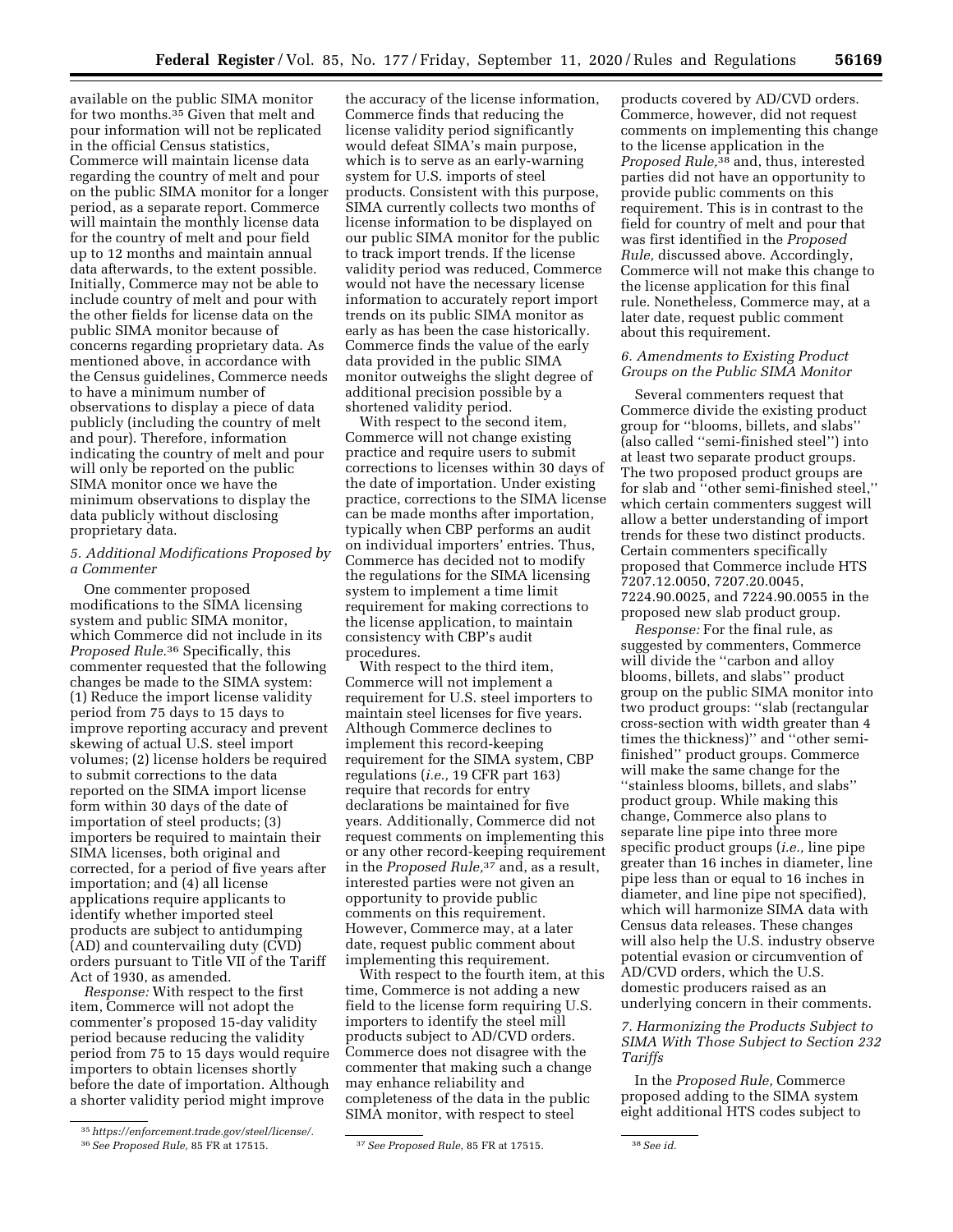available on the public SIMA monitor for two months.35 Given that melt and pour information will not be replicated in the official Census statistics, Commerce will maintain license data regarding the country of melt and pour on the public SIMA monitor for a longer period, as a separate report. Commerce will maintain the monthly license data for the country of melt and pour field up to 12 months and maintain annual data afterwards, to the extent possible. Initially, Commerce may not be able to include country of melt and pour with the other fields for license data on the public SIMA monitor because of concerns regarding proprietary data. As mentioned above, in accordance with the Census guidelines, Commerce needs to have a minimum number of observations to display a piece of data publicly (including the country of melt and pour). Therefore, information indicating the country of melt and pour will only be reported on the public SIMA monitor once we have the minimum observations to display the data publicly without disclosing proprietary data.

# *5. Additional Modifications Proposed by a Commenter*

One commenter proposed modifications to the SIMA licensing system and public SIMA monitor, which Commerce did not include in its *Proposed Rule.*36 Specifically, this commenter requested that the following changes be made to the SIMA system: (1) Reduce the import license validity period from 75 days to 15 days to improve reporting accuracy and prevent skewing of actual U.S. steel import volumes; (2) license holders be required to submit corrections to the data reported on the SIMA import license form within 30 days of the date of importation of steel products; (3) importers be required to maintain their SIMA licenses, both original and corrected, for a period of five years after importation; and (4) all license applications require applicants to identify whether imported steel products are subject to antidumping (AD) and countervailing duty (CVD) orders pursuant to Title VII of the Tariff Act of 1930, as amended.

*Response:* With respect to the first item, Commerce will not adopt the commenter's proposed 15-day validity period because reducing the validity period from 75 to 15 days would require importers to obtain licenses shortly before the date of importation. Although a shorter validity period might improve

With respect to the second item, Commerce will not change existing practice and require users to submit corrections to licenses within 30 days of the date of importation. Under existing practice, corrections to the SIMA license can be made months after importation, typically when CBP performs an audit on individual importers' entries. Thus, Commerce has decided not to modify the regulations for the SIMA licensing system to implement a time limit requirement for making corrections to the license application, to maintain consistency with CBP's audit procedures.

With respect to the third item, Commerce will not implement a requirement for U.S. steel importers to maintain steel licenses for five years. Although Commerce declines to implement this record-keeping requirement for the SIMA system, CBP regulations (*i.e.,* 19 CFR part 163) require that records for entry declarations be maintained for five years. Additionally, Commerce did not request comments on implementing this or any other record-keeping requirement in the *Proposed Rule,*37 and, as a result, interested parties were not given an opportunity to provide public comments on this requirement. However, Commerce may, at a later date, request public comment about implementing this requirement.

With respect to the fourth item, at this time, Commerce is not adding a new field to the license form requiring U.S. importers to identify the steel mill products subject to AD/CVD orders. Commerce does not disagree with the commenter that making such a change may enhance reliability and completeness of the data in the public SIMA monitor, with respect to steel

products covered by AD/CVD orders. Commerce, however, did not request comments on implementing this change to the license application in the *Proposed Rule,*38 and, thus, interested parties did not have an opportunity to provide public comments on this requirement. This is in contrast to the field for country of melt and pour that was first identified in the *Proposed Rule,* discussed above. Accordingly, Commerce will not make this change to the license application for this final rule. Nonetheless, Commerce may, at a later date, request public comment about this requirement.

# *6. Amendments to Existing Product Groups on the Public SIMA Monitor*

Several commenters request that Commerce divide the existing product group for ''blooms, billets, and slabs'' (also called ''semi-finished steel'') into at least two separate product groups. The two proposed product groups are for slab and ''other semi-finished steel,'' which certain commenters suggest will allow a better understanding of import trends for these two distinct products. Certain commenters specifically proposed that Commerce include HTS 7207.12.0050, 7207.20.0045, 7224.90.0025, and 7224.90.0055 in the proposed new slab product group.

*Response:* For the final rule, as suggested by commenters, Commerce will divide the "carbon and alloy" blooms, billets, and slabs'' product group on the public SIMA monitor into two product groups: ''slab (rectangular cross-section with width greater than 4 times the thickness)'' and ''other semifinished'' product groups. Commerce will make the same change for the ''stainless blooms, billets, and slabs'' product group. While making this change, Commerce also plans to separate line pipe into three more specific product groups (*i.e.,* line pipe greater than 16 inches in diameter, line pipe less than or equal to 16 inches in diameter, and line pipe not specified), which will harmonize SIMA data with Census data releases. These changes will also help the U.S. industry observe potential evasion or circumvention of AD/CVD orders, which the U.S. domestic producers raised as an underlying concern in their comments.

# *7. Harmonizing the Products Subject to SIMA With Those Subject to Section 232 Tariffs*

In the *Proposed Rule,* Commerce proposed adding to the SIMA system eight additional HTS codes subject to

<sup>35</sup>*[https://enforcement.trade.gov/steel/license/.](https://enforcement.trade.gov/steel/license/)* 

the accuracy of the license information, Commerce finds that reducing the license validity period significantly would defeat SIMA's main purpose, which is to serve as an early-warning system for U.S. imports of steel products. Consistent with this purpose, SIMA currently collects two months of license information to be displayed on our public SIMA monitor for the public to track import trends. If the license validity period was reduced, Commerce would not have the necessary license information to accurately report import trends on its public SIMA monitor as early as has been the case historically. Commerce finds the value of the early data provided in the public SIMA monitor outweighs the slight degree of additional precision possible by a shortened validity period.

<sup>36</sup>*See Proposed Rule,* 85 FR at 17515. 37*See Proposed Rule,* 85 FR at 17515. 38*See id.*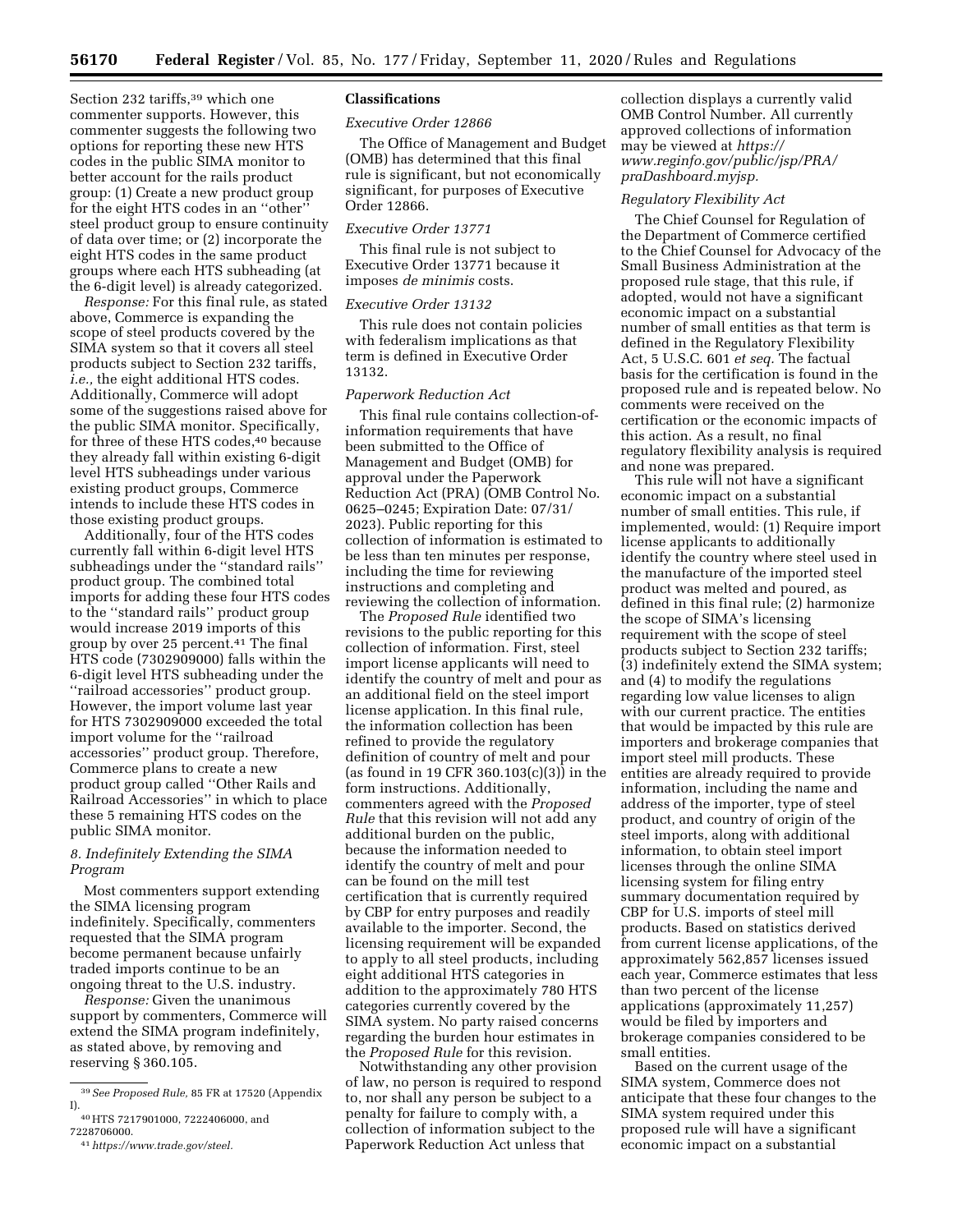Section 232 tariffs,<sup>39</sup> which one commenter supports. However, this commenter suggests the following two options for reporting these new HTS codes in the public SIMA monitor to better account for the rails product group: (1) Create a new product group for the eight HTS codes in an ''other'' steel product group to ensure continuity of data over time; or (2) incorporate the eight HTS codes in the same product groups where each HTS subheading (at the 6-digit level) is already categorized.

*Response:* For this final rule, as stated above, Commerce is expanding the scope of steel products covered by the SIMA system so that it covers all steel products subject to Section 232 tariffs, *i.e.,* the eight additional HTS codes. Additionally, Commerce will adopt some of the suggestions raised above for the public SIMA monitor. Specifically, for three of these HTS codes,<sup>40</sup> because they already fall within existing 6-digit level HTS subheadings under various existing product groups, Commerce intends to include these HTS codes in those existing product groups.

Additionally, four of the HTS codes currently fall within 6-digit level HTS subheadings under the ''standard rails'' product group. The combined total imports for adding these four HTS codes to the ''standard rails'' product group would increase 2019 imports of this group by over 25 percent.41 The final HTS code (7302909000) falls within the 6-digit level HTS subheading under the ''railroad accessories'' product group. However, the import volume last year for HTS 7302909000 exceeded the total import volume for the ''railroad accessories'' product group. Therefore, Commerce plans to create a new product group called ''Other Rails and Railroad Accessories'' in which to place these 5 remaining HTS codes on the public SIMA monitor.

## *8. Indefinitely Extending the SIMA Program*

Most commenters support extending the SIMA licensing program indefinitely. Specifically, commenters requested that the SIMA program become permanent because unfairly traded imports continue to be an ongoing threat to the U.S. industry.

*Response:* Given the unanimous support by commenters, Commerce will extend the SIMA program indefinitely, as stated above, by removing and reserving § 360.105.

### **Classifications**

## *Executive Order 12866*

The Office of Management and Budget (OMB) has determined that this final rule is significant, but not economically significant, for purposes of Executive Order 12866.

## *Executive Order 13771*

This final rule is not subject to Executive Order 13771 because it imposes *de minimis* costs.

### *Executive Order 13132*

This rule does not contain policies with federalism implications as that term is defined in Executive Order 13132.

# *Paperwork Reduction Act*

This final rule contains collection-ofinformation requirements that have been submitted to the Office of Management and Budget (OMB) for approval under the Paperwork Reduction Act (PRA) (OMB Control No. 0625–0245; Expiration Date: 07/31/ 2023). Public reporting for this collection of information is estimated to be less than ten minutes per response, including the time for reviewing instructions and completing and reviewing the collection of information.

The *Proposed Rule* identified two revisions to the public reporting for this collection of information. First, steel import license applicants will need to identify the country of melt and pour as an additional field on the steel import license application. In this final rule, the information collection has been refined to provide the regulatory definition of country of melt and pour (as found in 19 CFR 360.103(c)(3)) in the form instructions. Additionally, commenters agreed with the *Proposed Rule* that this revision will not add any additional burden on the public, because the information needed to identify the country of melt and pour can be found on the mill test certification that is currently required by CBP for entry purposes and readily available to the importer. Second, the licensing requirement will be expanded to apply to all steel products, including eight additional HTS categories in addition to the approximately 780 HTS categories currently covered by the SIMA system. No party raised concerns regarding the burden hour estimates in the *Proposed Rule* for this revision.

Notwithstanding any other provision of law, no person is required to respond to, nor shall any person be subject to a penalty for failure to comply with, a collection of information subject to the Paperwork Reduction Act unless that

collection displays a currently valid OMB Control Number. All currently approved collections of information may be viewed at *[https://](https://www.reginfo.gov/public/jsp/PRA/praDashboard.myjsp) [www.reginfo.gov/public/jsp/PRA/](https://www.reginfo.gov/public/jsp/PRA/praDashboard.myjsp)  [praDashboard.myjsp.](https://www.reginfo.gov/public/jsp/PRA/praDashboard.myjsp)* 

#### *Regulatory Flexibility Act*

The Chief Counsel for Regulation of the Department of Commerce certified to the Chief Counsel for Advocacy of the Small Business Administration at the proposed rule stage, that this rule, if adopted, would not have a significant economic impact on a substantial number of small entities as that term is defined in the Regulatory Flexibility Act, 5 U.S.C. 601 *et seq.* The factual basis for the certification is found in the proposed rule and is repeated below. No comments were received on the certification or the economic impacts of this action. As a result, no final regulatory flexibility analysis is required and none was prepared.

This rule will not have a significant economic impact on a substantial number of small entities. This rule, if implemented, would: (1) Require import license applicants to additionally identify the country where steel used in the manufacture of the imported steel product was melted and poured, as defined in this final rule; (2) harmonize the scope of SIMA's licensing requirement with the scope of steel products subject to Section 232 tariffs; (3) indefinitely extend the SIMA system; and (4) to modify the regulations regarding low value licenses to align with our current practice. The entities that would be impacted by this rule are importers and brokerage companies that import steel mill products. These entities are already required to provide information, including the name and address of the importer, type of steel product, and country of origin of the steel imports, along with additional information, to obtain steel import licenses through the online SIMA licensing system for filing entry summary documentation required by CBP for U.S. imports of steel mill products. Based on statistics derived from current license applications, of the approximately 562,857 licenses issued each year, Commerce estimates that less than two percent of the license applications (approximately 11,257) would be filed by importers and brokerage companies considered to be small entities.

Based on the current usage of the SIMA system, Commerce does not anticipate that these four changes to the SIMA system required under this proposed rule will have a significant economic impact on a substantial

<sup>39</sup>*See Proposed Rule,* 85 FR at 17520 (Appendix I).

<sup>40</sup>HTS 7217901000, 7222406000, and 7228706000.

<sup>41</sup>*[https://www.trade.gov/steel.](https://www.trade.gov/steel)*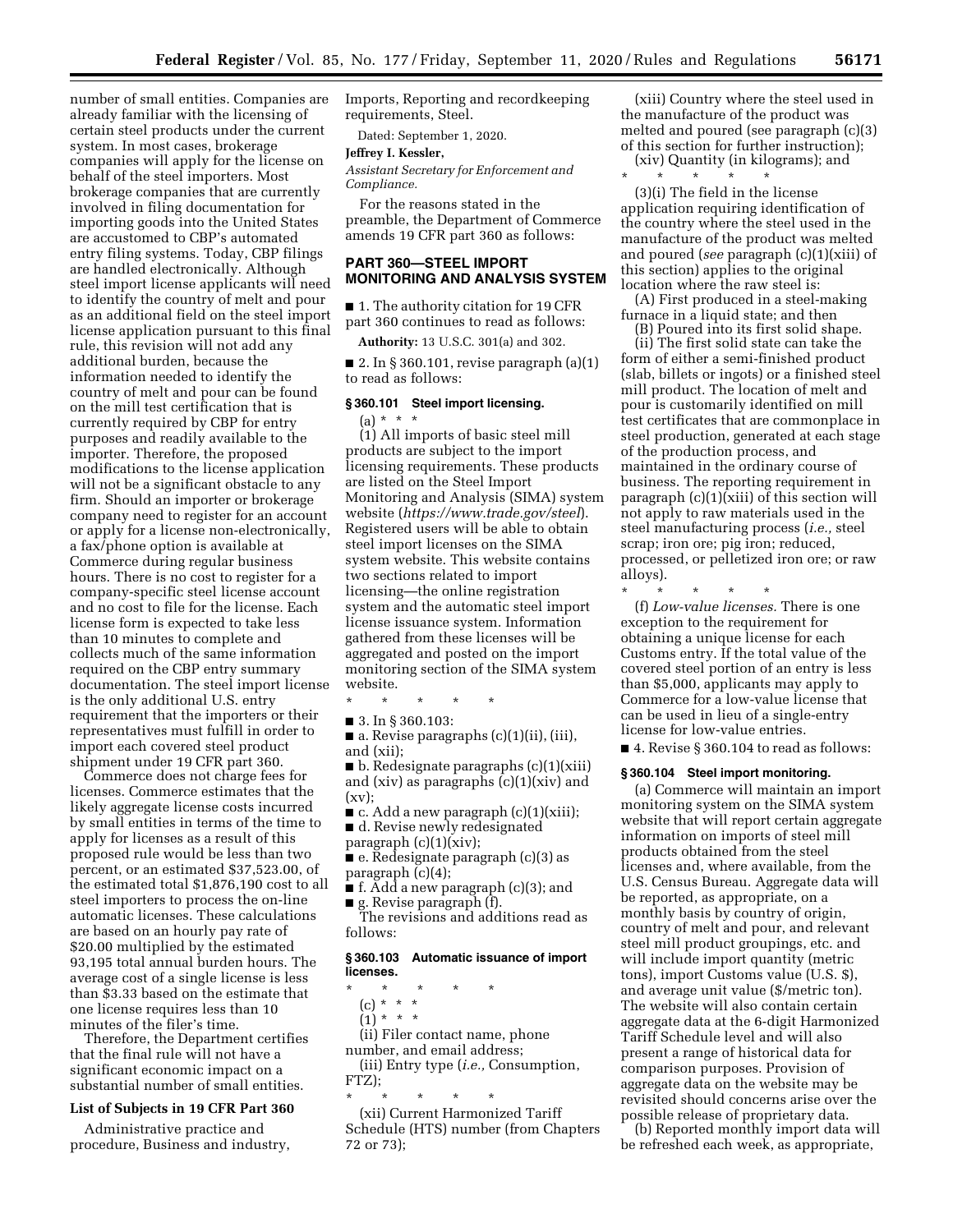number of small entities. Companies are already familiar with the licensing of certain steel products under the current system. In most cases, brokerage companies will apply for the license on behalf of the steel importers. Most brokerage companies that are currently involved in filing documentation for importing goods into the United States are accustomed to CBP's automated entry filing systems. Today, CBP filings are handled electronically. Although steel import license applicants will need to identify the country of melt and pour as an additional field on the steel import license application pursuant to this final rule, this revision will not add any additional burden, because the information needed to identify the country of melt and pour can be found on the mill test certification that is currently required by CBP for entry purposes and readily available to the importer. Therefore, the proposed modifications to the license application will not be a significant obstacle to any firm. Should an importer or brokerage company need to register for an account or apply for a license non-electronically, a fax/phone option is available at Commerce during regular business hours. There is no cost to register for a company-specific steel license account and no cost to file for the license. Each license form is expected to take less than 10 minutes to complete and collects much of the same information required on the CBP entry summary documentation. The steel import license is the only additional U.S. entry requirement that the importers or their representatives must fulfill in order to import each covered steel product shipment under 19 CFR part 360.

Commerce does not charge fees for licenses. Commerce estimates that the likely aggregate license costs incurred by small entities in terms of the time to apply for licenses as a result of this proposed rule would be less than two percent, or an estimated \$37,523.00, of the estimated total \$1,876,190 cost to all steel importers to process the on-line automatic licenses. These calculations are based on an hourly pay rate of \$20.00 multiplied by the estimated 93,195 total annual burden hours. The average cost of a single license is less than \$3.33 based on the estimate that one license requires less than 10 minutes of the filer's time.

Therefore, the Department certifies that the final rule will not have a significant economic impact on a substantial number of small entities.

## **List of Subjects in 19 CFR Part 360**

Administrative practice and procedure, Business and industry, Imports, Reporting and recordkeeping requirements, Steel.

Dated: September 1, 2020.

## **Jeffrey I. Kessler,**

*Assistant Secretary for Enforcement and Compliance.* 

For the reasons stated in the preamble, the Department of Commerce amends 19 CFR part 360 as follows:

## **PART 360—STEEL IMPORT MONITORING AND ANALYSIS SYSTEM**

■ 1. The authority citation for 19 CFR part 360 continues to read as follows:

**Authority:** 13 U.S.C. 301(a) and 302.

 $\blacksquare$  2. In § 360.101, revise paragraph (a)(1) to read as follows:

# **§ 360.101 Steel import licensing.**

(a) \* \* \*

(1) All imports of basic steel mill products are subject to the import licensing requirements. These products are listed on the Steel Import Monitoring and Analysis (SIMA) system website (*<https://www.trade.gov/steel>*). Registered users will be able to obtain steel import licenses on the SIMA system website. This website contains two sections related to import licensing—the online registration system and the automatic steel import license issuance system. Information gathered from these licenses will be aggregated and posted on the import monitoring section of the SIMA system website.

\* \* \* \* \*

■ 3. In § 360.103:

■ a. Revise paragraphs (c)(1)(ii), (iii), and (xii);

■ b. Redesignate paragraphs (c)(1)(xiii) and (xiv) as paragraphs (c)(1)(xiv) and (xv);

 $\blacksquare$  c. Add a new paragraph (c)(1)(xiii);

■ d. Revise newly redesignated paragraph (c)(1)(xiv);

■ e. Redesignate paragraph (c)(3) as paragraph (c)(4);

■ f. Add a new paragraph (c)(3); and ■ g. Revise paragraph (f).

The revisions and additions read as follows:

## **§ 360.103 Automatic issuance of import licenses.**

\* \* \* \* \*

- (c) \* \* \*  $(1) * * * *$
- 

(ii) Filer contact name, phone number, and email address;

(iii) Entry type (*i.e.,* Consumption, FTZ);

\* \* \* \* \* (xii) Current Harmonized Tariff Schedule (HTS) number (from Chapters 72 or 73);

(xiii) Country where the steel used in the manufacture of the product was melted and poured (see paragraph (c)(3) of this section for further instruction);

(xiv) Quantity (in kilograms); and \* \* \* \* \*

(3)(i) The field in the license application requiring identification of the country where the steel used in the manufacture of the product was melted and poured (*see* paragraph (c)(1)(xiii) of this section) applies to the original location where the raw steel is:

(A) First produced in a steel-making furnace in a liquid state; and then

(B) Poured into its first solid shape. (ii) The first solid state can take the form of either a semi-finished product (slab, billets or ingots) or a finished steel mill product. The location of melt and pour is customarily identified on mill test certificates that are commonplace in steel production, generated at each stage of the production process, and maintained in the ordinary course of business. The reporting requirement in paragraph (c)(1)(xiii) of this section will not apply to raw materials used in the steel manufacturing process (*i.e.,* steel scrap; iron ore; pig iron; reduced, processed, or pelletized iron ore; or raw alloys).

\* \* \* \* \* (f) *Low-value licenses.* There is one exception to the requirement for obtaining a unique license for each Customs entry. If the total value of the covered steel portion of an entry is less than \$5,000, applicants may apply to Commerce for a low-value license that can be used in lieu of a single-entry license for low-value entries.

■ 4. Revise § 360.104 to read as follows:

#### **§ 360.104 Steel import monitoring.**

(a) Commerce will maintain an import monitoring system on the SIMA system website that will report certain aggregate information on imports of steel mill products obtained from the steel licenses and, where available, from the U.S. Census Bureau. Aggregate data will be reported, as appropriate, on a monthly basis by country of origin, country of melt and pour, and relevant steel mill product groupings, etc. and will include import quantity (metric tons), import Customs value (U.S. \$), and average unit value (\$/metric ton). The website will also contain certain aggregate data at the 6-digit Harmonized Tariff Schedule level and will also present a range of historical data for comparison purposes. Provision of aggregate data on the website may be revisited should concerns arise over the possible release of proprietary data.

(b) Reported monthly import data will be refreshed each week, as appropriate,